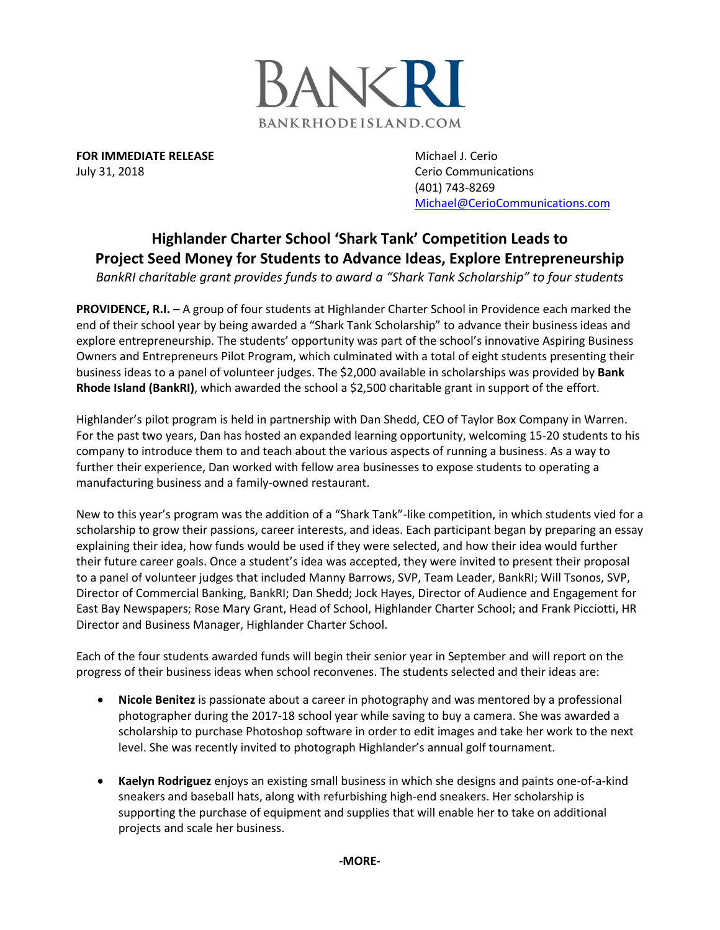

**FOR IMMEDIATE RELEASE** Michael J. Cerio July 31, 2018 **Cerio Communications** 

(401) 743-8269 [Michael@CerioCommunications.com](mailto:Michael@CerioCommunications.com)

## **Highlander Charter School 'Shark Tank' Competition Leads to Project Seed Money for Students to Advance Ideas, Explore Entrepreneurship**

*BankRI charitable grant provides funds to award a "Shark Tank Scholarship" to four students*

**PROVIDENCE, R.I. –** A group of four students at Highlander Charter School in Providence each marked the end of their school year by being awarded a "Shark Tank Scholarship" to advance their business ideas and explore entrepreneurship. The students' opportunity was part of the school's innovative Aspiring Business Owners and Entrepreneurs Pilot Program, which culminated with a total of eight students presenting their business ideas to a panel of volunteer judges. The \$2,000 available in scholarships was provided by **Bank Rhode Island (BankRI)**, which awarded the school a \$2,500 charitable grant in support of the effort.

Highlander's pilot program is held in partnership with Dan Shedd, CEO of Taylor Box Company in Warren. For the past two years, Dan has hosted an expanded learning opportunity, welcoming 15-20 students to his company to introduce them to and teach about the various aspects of running a business. As a way to further their experience, Dan worked with fellow area businesses to expose students to operating a manufacturing business and a family-owned restaurant.

New to this year's program was the addition of a "Shark Tank"-like competition, in which students vied for a scholarship to grow their passions, career interests, and ideas. Each participant began by preparing an essay explaining their idea, how funds would be used if they were selected, and how their idea would further their future career goals. Once a student's idea was accepted, they were invited to present their proposal to a panel of volunteer judges that included Manny Barrows, SVP, Team Leader, BankRI; Will Tsonos, SVP, Director of Commercial Banking, BankRI; Dan Shedd; Jock Hayes, Director of Audience and Engagement for East Bay Newspapers; Rose Mary Grant, Head of School, Highlander Charter School; and Frank Picciotti, HR Director and Business Manager, Highlander Charter School.

Each of the four students awarded funds will begin their senior year in September and will report on the progress of their business ideas when school reconvenes. The students selected and their ideas are:

- **Nicole Benitez** is passionate about a career in photography and was mentored by a professional photographer during the 2017-18 school year while saving to buy a camera. She was awarded a scholarship to purchase Photoshop software in order to edit images and take her work to the next level. She was recently invited to photograph Highlander's annual golf tournament.
- **Kaelyn Rodriguez** enjoys an existing small business in which she designs and paints one-of-a-kind sneakers and baseball hats, along with refurbishing high-end sneakers. Her scholarship is supporting the purchase of equipment and supplies that will enable her to take on additional projects and scale her business.